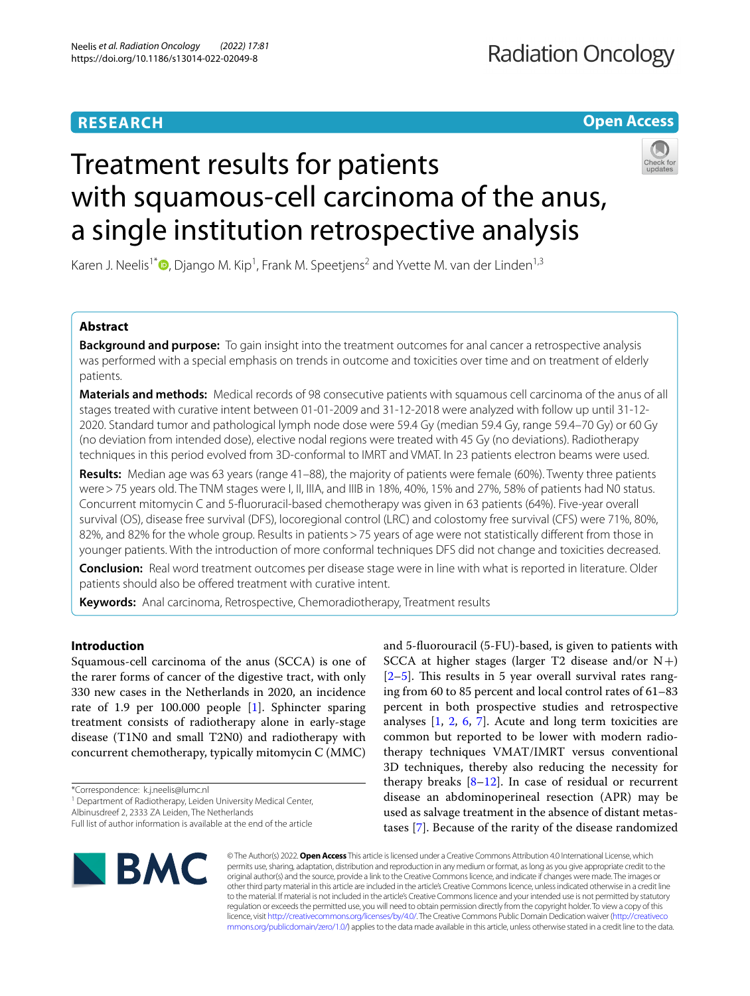# **RESEARCH**

**Open Access**

# Treatment results for patients with squamous-cell carcinoma of the anus, a single institution retrospective analysis



Karen J. Neelis<sup>1\*</sup><sup>®</sup>[,](http://orcid.org/0000-0002-3506-4966) Django M. Kip<sup>1</sup>, Frank M. Speetjens<sup>2</sup> and Yvette M. van der Linden<sup>1,3</sup>

# **Abstract**

**Background and purpose:** To gain insight into the treatment outcomes for anal cancer a retrospective analysis was performed with a special emphasis on trends in outcome and toxicities over time and on treatment of elderly patients.

**Materials and methods:** Medical records of 98 consecutive patients with squamous cell carcinoma of the anus of all stages treated with curative intent between 01-01-2009 and 31-12-2018 were analyzed with follow up until 31-12- 2020. Standard tumor and pathological lymph node dose were 59.4 Gy (median 59.4 Gy, range 59.4–70 Gy) or 60 Gy (no deviation from intended dose), elective nodal regions were treated with 45 Gy (no deviations). Radiotherapy techniques in this period evolved from 3D-conformal to IMRT and VMAT. In 23 patients electron beams were used.

**Results:** Median age was 63 years (range 41–88), the majority of patients were female (60%). Twenty three patients were > 75 years old. The TNM stages were I, II, IIIA, and IIIB in 18%, 40%, 15% and 27%, 58% of patients had N0 status. Concurrent mitomycin C and 5-fuoruracil-based chemotherapy was given in 63 patients (64%). Five-year overall survival (OS), disease free survival (DFS), locoregional control (LRC) and colostomy free survival (CFS) were 71%, 80%, 82%, and 82% for the whole group. Results in patients > 75 years of age were not statistically different from those in younger patients. With the introduction of more conformal techniques DFS did not change and toxicities decreased.

**Conclusion:** Real word treatment outcomes per disease stage were in line with what is reported in literature. Older patients should also be offered treatment with curative intent.

**Keywords:** Anal carcinoma, Retrospective, Chemoradiotherapy, Treatment results

# **Introduction**

Squamous-cell carcinoma of the anus (SCCA) is one of the rarer forms of cancer of the digestive tract, with only 330 new cases in the Netherlands in 2020, an incidence rate of 1.9 per 100.000 people [[1\]](#page-7-0). Sphincter sparing treatment consists of radiotherapy alone in early-stage disease (T1N0 and small T2N0) and radiotherapy with concurrent chemotherapy, typically mitomycin C (MMC)

\*Correspondence: k.j.neelis@lumc.nl

<sup>1</sup> Department of Radiotherapy, Leiden University Medical Center,

Albinusdreef 2, 2333 ZA Leiden, The Netherlands

Full list of author information is available at the end of the article



and 5-fuorouracil (5-FU)-based, is given to patients with SCCA at higher stages (larger T2 disease and/or  $N+$ )  $[2-5]$  $[2-5]$ . This results in 5 year overall survival rates ranging from 60 to 85 percent and local control rates of 61–83 percent in both prospective studies and retrospective analyses [\[1](#page-7-0), [2](#page-7-1), [6](#page-7-3), [7](#page-7-4)]. Acute and long term toxicities are common but reported to be lower with modern radiotherapy techniques VMAT/IMRT versus conventional 3D techniques, thereby also reducing the necessity for therapy breaks  $[8-12]$  $[8-12]$  $[8-12]$ . In case of residual or recurrent disease an abdominoperineal resection (APR) may be used as salvage treatment in the absence of distant metastases [[7\]](#page-7-4). Because of the rarity of the disease randomized

© The Author(s) 2022. **Open Access** This article is licensed under a Creative Commons Attribution 4.0 International License, which permits use, sharing, adaptation, distribution and reproduction in any medium or format, as long as you give appropriate credit to the original author(s) and the source, provide a link to the Creative Commons licence, and indicate if changes were made. The images or other third party material in this article are included in the article's Creative Commons licence, unless indicated otherwise in a credit line to the material. If material is not included in the article's Creative Commons licence and your intended use is not permitted by statutory regulation or exceeds the permitted use, you will need to obtain permission directly from the copyright holder. To view a copy of this licence, visit [http://creativecommons.org/licenses/by/4.0/.](http://creativecommons.org/licenses/by/4.0/) The Creative Commons Public Domain Dedication waiver ([http://creativeco](http://creativecommons.org/publicdomain/zero/1.0/) [mmons.org/publicdomain/zero/1.0/](http://creativecommons.org/publicdomain/zero/1.0/)) applies to the data made available in this article, unless otherwise stated in a credit line to the data.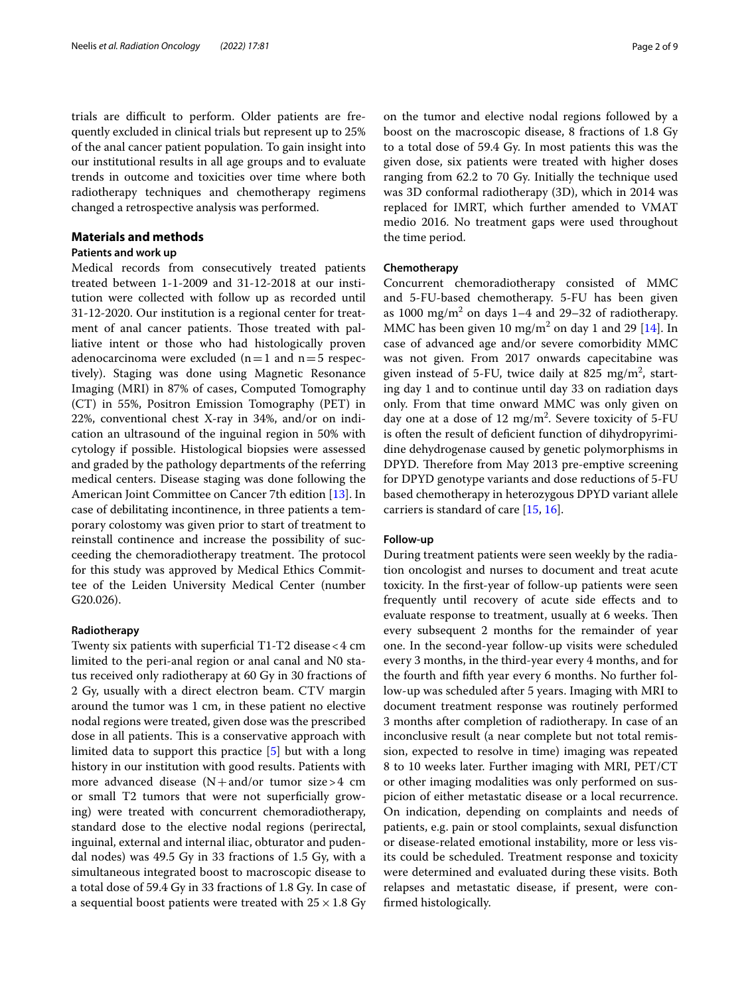trials are difficult to perform. Older patients are frequently excluded in clinical trials but represent up to 25% of the anal cancer patient population. To gain insight into our institutional results in all age groups and to evaluate trends in outcome and toxicities over time where both radiotherapy techniques and chemotherapy regimens changed a retrospective analysis was performed.

#### **Materials and methods**

# **Patients and work up**

Medical records from consecutively treated patients treated between 1-1-2009 and 31-12-2018 at our institution were collected with follow up as recorded until 31-12-2020. Our institution is a regional center for treatment of anal cancer patients. Those treated with palliative intent or those who had histologically proven adenocarcinoma were excluded  $(n=1$  and  $n=5$  respectively). Staging was done using Magnetic Resonance Imaging (MRI) in 87% of cases, Computed Tomography (CT) in 55%, Positron Emission Tomography (PET) in 22%, conventional chest X-ray in 34%, and/or on indication an ultrasound of the inguinal region in 50% with cytology if possible. Histological biopsies were assessed and graded by the pathology departments of the referring medical centers. Disease staging was done following the American Joint Committee on Cancer 7th edition [\[13](#page-7-7)]. In case of debilitating incontinence, in three patients a temporary colostomy was given prior to start of treatment to reinstall continence and increase the possibility of succeeding the chemoradiotherapy treatment. The protocol for this study was approved by Medical Ethics Committee of the Leiden University Medical Center (number G20.026).

#### **Radiotherapy**

Twenty six patients with superficial T1-T2 disease  $<$  4 cm limited to the peri-anal region or anal canal and N0 status received only radiotherapy at 60 Gy in 30 fractions of 2 Gy, usually with a direct electron beam. CTV margin around the tumor was 1 cm, in these patient no elective nodal regions were treated, given dose was the prescribed dose in all patients. This is a conservative approach with limited data to support this practice [[5\]](#page-7-2) but with a long history in our institution with good results. Patients with more advanced disease  $(N+$ and/or tumor size>4 cm or small T2 tumors that were not superfcially growing) were treated with concurrent chemoradiotherapy, standard dose to the elective nodal regions (perirectal, inguinal, external and internal iliac, obturator and pudendal nodes) was 49.5 Gy in 33 fractions of 1.5 Gy, with a simultaneous integrated boost to macroscopic disease to a total dose of 59.4 Gy in 33 fractions of 1.8 Gy. In case of a sequential boost patients were treated with  $25 \times 1.8$  Gy on the tumor and elective nodal regions followed by a boost on the macroscopic disease, 8 fractions of 1.8 Gy to a total dose of 59.4 Gy. In most patients this was the given dose, six patients were treated with higher doses ranging from 62.2 to 70 Gy. Initially the technique used was 3D conformal radiotherapy (3D), which in 2014 was replaced for IMRT, which further amended to VMAT medio 2016. No treatment gaps were used throughout the time period.

### **Chemotherapy**

Concurrent chemoradiotherapy consisted of MMC and 5-FU-based chemotherapy. 5-FU has been given as  $1000 \text{ mg/m}^2$  on days 1–4 and 29–32 of radiotherapy. MMC has been given  $10 \text{ mg/m}^2$  on day 1 and 29 [[14\]](#page-7-8). In case of advanced age and/or severe comorbidity MMC was not given. From 2017 onwards capecitabine was given instead of 5-FU, twice daily at 825  $\text{mg/m}^2$ , starting day 1 and to continue until day 33 on radiation days only. From that time onward MMC was only given on day one at a dose of  $12 \text{ mg/m}^2$ . Severe toxicity of 5-FU is often the result of defcient function of dihydropyrimidine dehydrogenase caused by genetic polymorphisms in DPYD. Therefore from May 2013 pre-emptive screening for DPYD genotype variants and dose reductions of 5-FU based chemotherapy in heterozygous DPYD variant allele carriers is standard of care [\[15](#page-7-9), [16](#page-7-10)].

# **Follow‑up**

During treatment patients were seen weekly by the radiation oncologist and nurses to document and treat acute toxicity. In the frst-year of follow-up patients were seen frequently until recovery of acute side efects and to evaluate response to treatment, usually at 6 weeks. Then every subsequent 2 months for the remainder of year one. In the second-year follow-up visits were scheduled every 3 months, in the third-year every 4 months, and for the fourth and ffth year every 6 months. No further follow-up was scheduled after 5 years. Imaging with MRI to document treatment response was routinely performed 3 months after completion of radiotherapy. In case of an inconclusive result (a near complete but not total remission, expected to resolve in time) imaging was repeated 8 to 10 weeks later. Further imaging with MRI, PET/CT or other imaging modalities was only performed on suspicion of either metastatic disease or a local recurrence. On indication, depending on complaints and needs of patients, e.g. pain or stool complaints, sexual disfunction or disease-related emotional instability, more or less visits could be scheduled. Treatment response and toxicity were determined and evaluated during these visits. Both relapses and metastatic disease, if present, were confrmed histologically.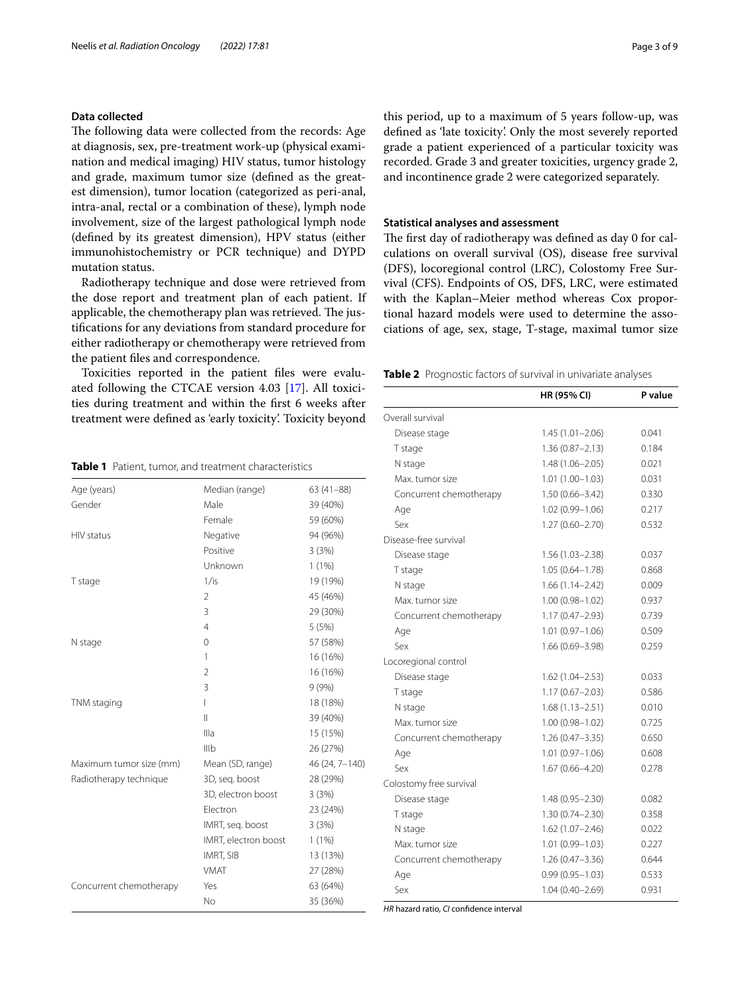# **Data collected**

The following data were collected from the records: Age at diagnosis, sex, pre-treatment work-up (physical examination and medical imaging) HIV status, tumor histology and grade, maximum tumor size (defned as the greatest dimension), tumor location (categorized as peri-anal, intra-anal, rectal or a combination of these), lymph node involvement, size of the largest pathological lymph node (defned by its greatest dimension), HPV status (either immunohistochemistry or PCR technique) and DYPD mutation status.

Radiotherapy technique and dose were retrieved from the dose report and treatment plan of each patient. If applicable, the chemotherapy plan was retrieved. The justifcations for any deviations from standard procedure for either radiotherapy or chemotherapy were retrieved from the patient fles and correspondence.

Toxicities reported in the patient fles were evaluated following the CTCAE version 4.03 [[17\]](#page-7-11). All toxicities during treatment and within the frst 6 weeks after treatment were defned as 'early toxicity'. Toxicity beyond

<span id="page-2-0"></span>**Table 1** Patient, tumor, and treatment characteristics

| Age (years)             | Median (range)       | $63(41-88)$    |
|-------------------------|----------------------|----------------|
| Gender                  | Male                 | 39 (40%)       |
|                         | Female               | 59 (60%)       |
| HIV status              | Negative             | 94 (96%)       |
|                         | Positive             | 3(3%)          |
|                         | Unknown              | 1(1%)          |
| T stage                 | 1/is                 | 19 (19%)       |
|                         | $\overline{2}$       | 45 (46%)       |
|                         | 3                    | 29 (30%)       |
|                         | $\overline{4}$       | 5(5%)          |
| N stage                 | $\mathbf 0$          | 57 (58%)       |
|                         | 1                    | 16 (16%)       |
|                         | $\overline{2}$       | 16 (16%)       |
|                         | 3                    | 9(9%)          |
| TNM staging             | ı                    | 18 (18%)       |
|                         | $\mathbf{  }$        | 39 (40%)       |
|                         | Illa                 | 15 (15%)       |
|                         | Illb                 | 26 (27%)       |
| Maximum tumor size (mm) | Mean (SD, range)     | 46 (24, 7-140) |
| Radiotherapy technique  | 3D, seg. boost       | 28 (29%)       |
|                         | 3D, electron boost   | 3(3%)          |
|                         | Electron             | 23 (24%)       |
|                         | IMRT, seg. boost     | 3(3%)          |
|                         | IMRT, electron boost | 1(1%)          |
|                         | <b>IMRT, SIB</b>     | 13 (13%)       |
|                         | <b>VMAT</b>          | 27 (28%)       |
| Concurrent chemotherapy | Yes                  | 63 (64%)       |
|                         | N <sub>o</sub>       | 35 (36%)       |

this period, up to a maximum of 5 years follow-up, was defned as 'late toxicity'. Only the most severely reported grade a patient experienced of a particular toxicity was recorded. Grade 3 and greater toxicities, urgency grade 2, and incontinence grade 2 were categorized separately.

#### **Statistical analyses and assessment**

The first day of radiotherapy was defined as day 0 for calculations on overall survival (OS), disease free survival (DFS), locoregional control (LRC), Colostomy Free Survival (CFS). Endpoints of OS, DFS, LRC, were estimated with the Kaplan–Meier method whereas Cox proportional hazard models were used to determine the associations of age, sex, stage, T-stage, maximal tumor size

<span id="page-2-1"></span>**Table 2** Prognostic factors of survival in univariate analyses

|                         | HR (95% CI)         | P value |
|-------------------------|---------------------|---------|
| Overall survival        |                     |         |
| Disease stage           | $1.45(1.01 - 2.06)$ | 0.041   |
| T stage                 | $1.36(0.87 - 2.13)$ | 0.184   |
| N stage                 | $1.48(1.06 - 2.05)$ | 0.021   |
| Max. tumor size         | $1.01(1.00 - 1.03)$ | 0.031   |
| Concurrent chemotherapy | $1.50(0.66 - 3.42)$ | 0.330   |
| Age                     | $1.02(0.99 - 1.06)$ | 0.217   |
| Sex                     | $1.27(0.60 - 2.70)$ | 0.532   |
| Disease-free survival   |                     |         |
| Disease stage           | $1.56(1.03 - 2.38)$ | 0.037   |
| T stage                 | $1.05(0.64 - 1.78)$ | 0.868   |
| N stage                 | $1.66(1.14 - 2.42)$ | 0.009   |
| Max. tumor size         | $1.00(0.98 - 1.02)$ | 0.937   |
| Concurrent chemotherapy | $1.17(0.47 - 2.93)$ | 0.739   |
| Age                     | $1.01(0.97 - 1.06)$ | 0.509   |
| Sex                     | 1.66 (0.69-3.98)    | 0.259   |
| Locoregional control    |                     |         |
| Disease stage           | $1.62(1.04 - 2.53)$ | 0.033   |
| T stage                 | $1.17(0.67 - 2.03)$ | 0.586   |
| N stage                 | $1.68(1.13 - 2.51)$ | 0.010   |
| Max. tumor size         | $1.00(0.98 - 1.02)$ | 0.725   |
| Concurrent chemotherapy | $1.26(0.47 - 3.35)$ | 0.650   |
| Age                     | $1.01(0.97 - 1.06)$ | 0.608   |
| Sex                     | 1.67 (0.66-4.20)    | 0.278   |
| Colostomy free survival |                     |         |
| Disease stage           | 1.48 (0.95-2.30)    | 0.082   |
| T stage                 | $1.30(0.74 - 2.30)$ | 0.358   |
| N stage                 | $1.62(1.07 - 2.46)$ | 0.022   |
| Max. tumor size         | $1.01(0.99 - 1.03)$ | 0.227   |
| Concurrent chemotherapy | $1.26(0.47 - 3.36)$ | 0.644   |
| Age                     | $0.99(0.95 - 1.03)$ | 0.533   |
| Sex                     | $1.04(0.40 - 2.69)$ | 0.931   |

*HR* hazard ratio, *CI* confdence interval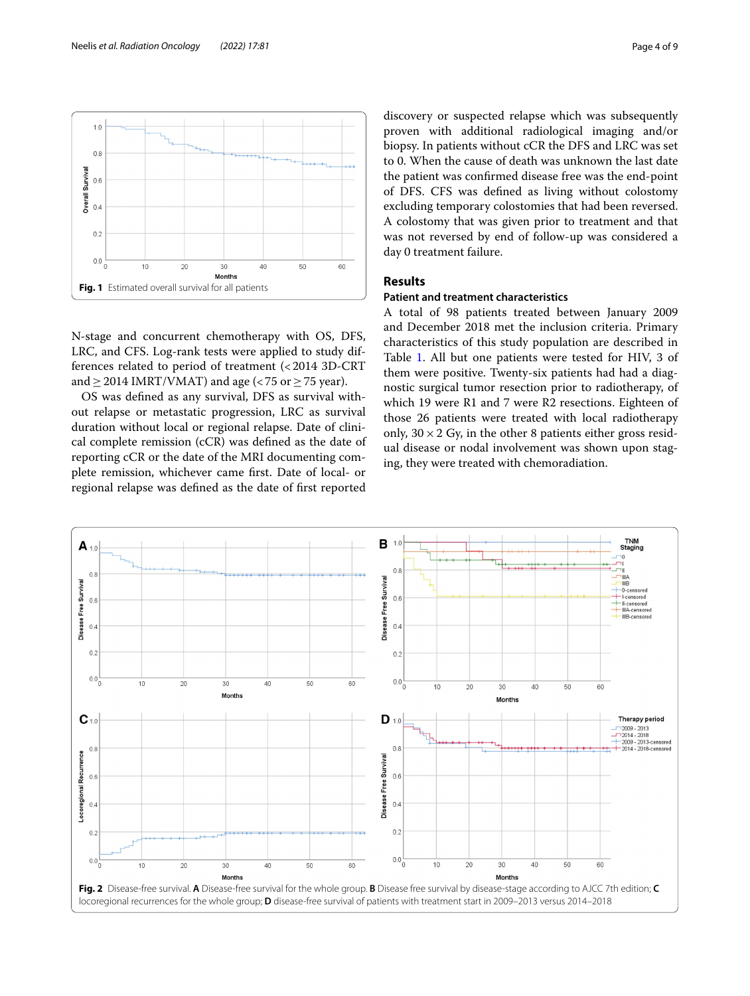

<span id="page-3-0"></span>N-stage and concurrent chemotherapy with OS, DFS, LRC, and CFS. Log-rank tests were applied to study differences related to period of treatment (<2014 3D-CRT and  $>$  2014 IMRT/VMAT) and age (<75 or  $>$  75 year).

OS was defned as any survival, DFS as survival without relapse or metastatic progression, LRC as survival duration without local or regional relapse. Date of clinical complete remission (cCR) was defned as the date of reporting cCR or the date of the MRI documenting complete remission, whichever came frst. Date of local- or regional relapse was defned as the date of frst reported discovery or suspected relapse which was subsequently proven with additional radiological imaging and/or biopsy. In patients without cCR the DFS and LRC was set to 0. When the cause of death was unknown the last date the patient was confrmed disease free was the end-point of DFS. CFS was defned as living without colostomy excluding temporary colostomies that had been reversed. A colostomy that was given prior to treatment and that was not reversed by end of follow-up was considered a day 0 treatment failure.

# **Results**

# **Patient and treatment characteristics**

A total of 98 patients treated between January 2009 and December 2018 met the inclusion criteria. Primary characteristics of this study population are described in Table [1.](#page-2-0) All but one patients were tested for HIV, 3 of them were positive. Twenty-six patients had had a diagnostic surgical tumor resection prior to radiotherapy, of which 19 were R1 and 7 were R2 resections. Eighteen of those 26 patients were treated with local radiotherapy only,  $30 \times 2$  Gy, in the other 8 patients either gross residual disease or nodal involvement was shown upon staging, they were treated with chemoradiation.

<span id="page-3-1"></span>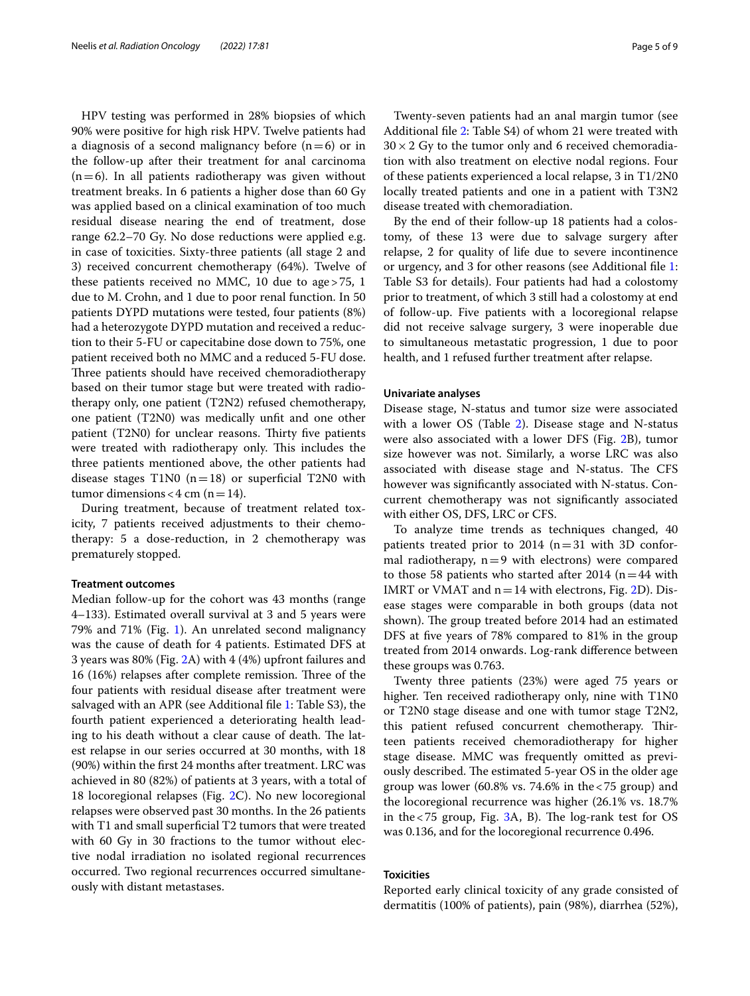HPV testing was performed in 28% biopsies of which 90% were positive for high risk HPV. Twelve patients had a diagnosis of a second malignancy before  $(n=6)$  or in the follow-up after their treatment for anal carcinoma  $(n=6)$ . In all patients radiotherapy was given without treatment breaks. In 6 patients a higher dose than 60 Gy was applied based on a clinical examination of too much residual disease nearing the end of treatment, dose range 62.2–70 Gy. No dose reductions were applied e.g. in case of toxicities. Sixty-three patients (all stage 2 and 3) received concurrent chemotherapy (64%). Twelve of these patients received no MMC, 10 due to age>75, 1 due to M. Crohn, and 1 due to poor renal function. In 50 patients DYPD mutations were tested, four patients (8%) had a heterozygote DYPD mutation and received a reduction to their 5-FU or capecitabine dose down to 75%, one patient received both no MMC and a reduced 5-FU dose. Three patients should have received chemoradiotherapy based on their tumor stage but were treated with radiotherapy only, one patient (T2N2) refused chemotherapy, one patient (T2N0) was medically unft and one other patient  $(T2N0)$  for unclear reasons. Thirty five patients were treated with radiotherapy only. This includes the three patients mentioned above, the other patients had disease stages T1N0  $(n=18)$  or superficial T2N0 with tumor dimensions < 4 cm ( $n=14$ ).

During treatment, because of treatment related toxicity, 7 patients received adjustments to their chemotherapy: 5 a dose-reduction, in 2 chemotherapy was prematurely stopped.

#### **Treatment outcomes**

Median follow-up for the cohort was 43 months (range 4–133). Estimated overall survival at 3 and 5 years were 79% and 71% (Fig. [1](#page-3-0)). An unrelated second malignancy was the cause of death for 4 patients. Estimated DFS at 3 years was 80% (Fig. [2](#page-3-1)A) with 4 (4%) upfront failures and 16 (16%) relapses after complete remission. Three of the four patients with residual disease after treatment were salvaged with an APR (see Additional fle [1:](#page-7-12) Table S3), the fourth patient experienced a deteriorating health leading to his death without a clear cause of death. The latest relapse in our series occurred at 30 months, with 18 (90%) within the frst 24 months after treatment. LRC was achieved in 80 (82%) of patients at 3 years, with a total of 18 locoregional relapses (Fig. [2](#page-3-1)C). No new locoregional relapses were observed past 30 months. In the 26 patients with T1 and small superficial T2 tumors that were treated with 60 Gy in 30 fractions to the tumor without elective nodal irradiation no isolated regional recurrences occurred. Two regional recurrences occurred simultaneously with distant metastases.

Twenty-seven patients had an anal margin tumor (see Additional fle [2:](#page-7-13) Table S4) of whom 21 were treated with  $30 \times 2$  Gy to the tumor only and 6 received chemoradiation with also treatment on elective nodal regions. Four of these patients experienced a local relapse, 3 in T1/2N0 locally treated patients and one in a patient with T3N2 disease treated with chemoradiation.

By the end of their follow-up 18 patients had a colostomy, of these 13 were due to salvage surgery after relapse, 2 for quality of life due to severe incontinence or urgency, and 3 for other reasons (see Additional fle [1](#page-7-12): Table S3 for details). Four patients had had a colostomy prior to treatment, of which 3 still had a colostomy at end of follow-up. Five patients with a locoregional relapse did not receive salvage surgery, 3 were inoperable due to simultaneous metastatic progression, 1 due to poor health, and 1 refused further treatment after relapse.

#### **Univariate analyses**

Disease stage, N-status and tumor size were associated with a lower OS (Table [2](#page-2-1)). Disease stage and N-status were also associated with a lower DFS (Fig. [2B](#page-3-1)), tumor size however was not. Similarly, a worse LRC was also associated with disease stage and N-status. The CFS however was signifcantly associated with N-status. Concurrent chemotherapy was not signifcantly associated with either OS, DFS, LRC or CFS.

To analyze time trends as techniques changed, 40 patients treated prior to 2014 ( $n=31$  with 3D conformal radiotherapy,  $n=9$  with electrons) were compared to those 58 patients who started after 2014 ( $n=44$  with IMRT or VMAT and  $n=14$  with electrons, Fig. [2](#page-3-1)D). Disease stages were comparable in both groups (data not shown). The group treated before 2014 had an estimated DFS at fve years of 78% compared to 81% in the group treated from 2014 onwards. Log-rank diference between these groups was 0.763.

Twenty three patients (23%) were aged 75 years or higher. Ten received radiotherapy only, nine with T1N0 or T2N0 stage disease and one with tumor stage T2N2, this patient refused concurrent chemotherapy. Thirteen patients received chemoradiotherapy for higher stage disease. MMC was frequently omitted as previously described. The estimated 5-year OS in the older age group was lower (60.8% vs. 74.6% in the  $< 75$  group) and the locoregional recurrence was higher (26.1% vs. 18.7% in the  $<75$  group, Fig. [3](#page-5-0)A, B). The log-rank test for OS was 0.136, and for the locoregional recurrence 0.496.

# **Toxicities**

Reported early clinical toxicity of any grade consisted of dermatitis (100% of patients), pain (98%), diarrhea (52%),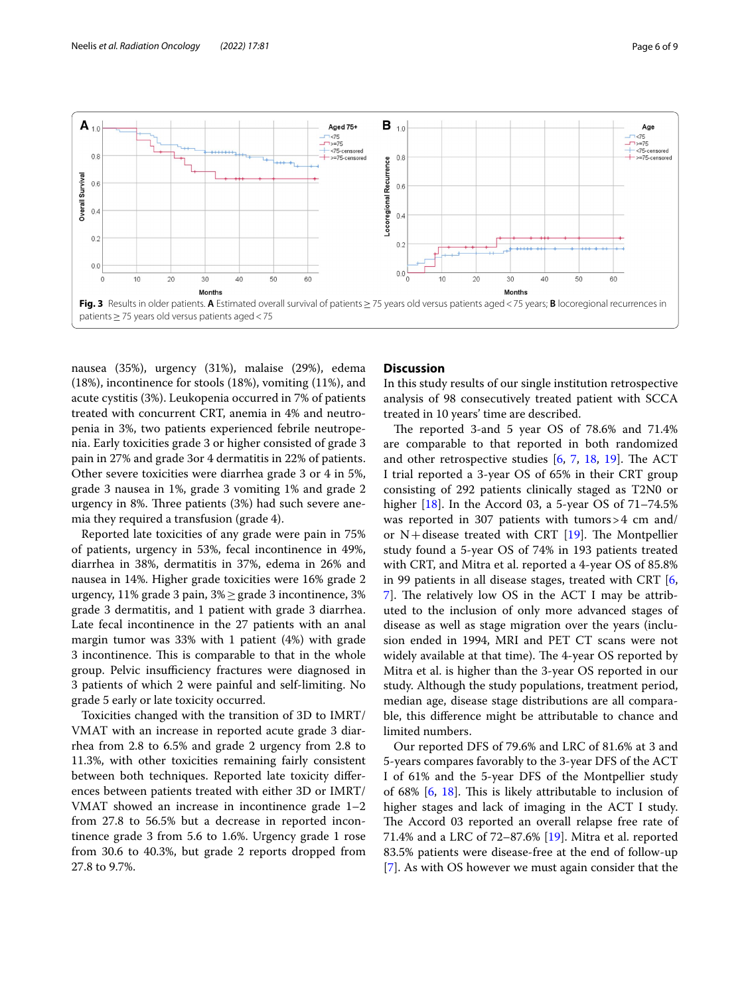

<span id="page-5-0"></span>nausea (35%), urgency (31%), malaise (29%), edema (18%), incontinence for stools (18%), vomiting (11%), and acute cystitis (3%). Leukopenia occurred in 7% of patients treated with concurrent CRT, anemia in 4% and neutropenia in 3%, two patients experienced febrile neutropenia. Early toxicities grade 3 or higher consisted of grade 3 pain in 27% and grade 3or 4 dermatitis in 22% of patients. Other severe toxicities were diarrhea grade 3 or 4 in 5%, grade 3 nausea in 1%, grade 3 vomiting 1% and grade 2 urgency in 8%. Three patients  $(3%)$  had such severe anemia they required a transfusion (grade 4).

Reported late toxicities of any grade were pain in 75% of patients, urgency in 53%, fecal incontinence in 49%, diarrhea in 38%, dermatitis in 37%, edema in 26% and nausea in 14%. Higher grade toxicities were 16% grade 2 urgency, 11% grade 3 pain, 3%≥grade 3 incontinence, 3% grade 3 dermatitis, and 1 patient with grade 3 diarrhea. Late fecal incontinence in the 27 patients with an anal margin tumor was 33% with 1 patient (4%) with grade 3 incontinence. This is comparable to that in the whole group. Pelvic insufficiency fractures were diagnosed in 3 patients of which 2 were painful and self-limiting. No grade 5 early or late toxicity occurred.

Toxicities changed with the transition of 3D to IMRT/ VMAT with an increase in reported acute grade 3 diarrhea from 2.8 to 6.5% and grade 2 urgency from 2.8 to 11.3%, with other toxicities remaining fairly consistent between both techniques. Reported late toxicity diferences between patients treated with either 3D or IMRT/ VMAT showed an increase in incontinence grade 1–2 from 27.8 to 56.5% but a decrease in reported incontinence grade 3 from 5.6 to 1.6%. Urgency grade 1 rose from 30.6 to 40.3%, but grade 2 reports dropped from 27.8 to 9.7%.

# **Discussion**

In this study results of our single institution retrospective analysis of 98 consecutively treated patient with SCCA treated in 10 years' time are described.

The reported 3-and 5 year OS of  $78.6\%$  and  $71.4\%$ are comparable to that reported in both randomized and other retrospective studies  $[6, 7, 18, 19]$  $[6, 7, 18, 19]$  $[6, 7, 18, 19]$  $[6, 7, 18, 19]$  $[6, 7, 18, 19]$  $[6, 7, 18, 19]$  $[6, 7, 18, 19]$ . The ACT I trial reported a 3-year OS of 65% in their CRT group consisting of 292 patients clinically staged as T2N0 or higher [[18\]](#page-7-14). In the Accord 03, a 5-year OS of 71–74.5% was reported in 307 patients with tumors>4 cm and/ or  $N+$ disease treated with CRT [\[19\]](#page-7-15). The Montpellier study found a 5-year OS of 74% in 193 patients treated with CRT, and Mitra et al. reported a 4-year OS of 85.8% in 99 patients in all disease stages, treated with CRT [\[6](#page-7-3),  $7$ ]. The relatively low OS in the ACT I may be attributed to the inclusion of only more advanced stages of disease as well as stage migration over the years (inclusion ended in 1994, MRI and PET CT scans were not widely available at that time). The 4-year OS reported by Mitra et al. is higher than the 3-year OS reported in our study. Although the study populations, treatment period, median age, disease stage distributions are all comparable, this diference might be attributable to chance and limited numbers.

Our reported DFS of 79.6% and LRC of 81.6% at 3 and 5-years compares favorably to the 3-year DFS of the ACT I of 61% and the 5-year DFS of the Montpellier study of 68%  $[6, 18]$  $[6, 18]$  $[6, 18]$ . This is likely attributable to inclusion of higher stages and lack of imaging in the ACT I study. The Accord 03 reported an overall relapse free rate of 71.4% and a LRC of 72–87.6% [\[19](#page-7-15)]. Mitra et al. reported 83.5% patients were disease-free at the end of follow-up [[7\]](#page-7-4). As with OS however we must again consider that the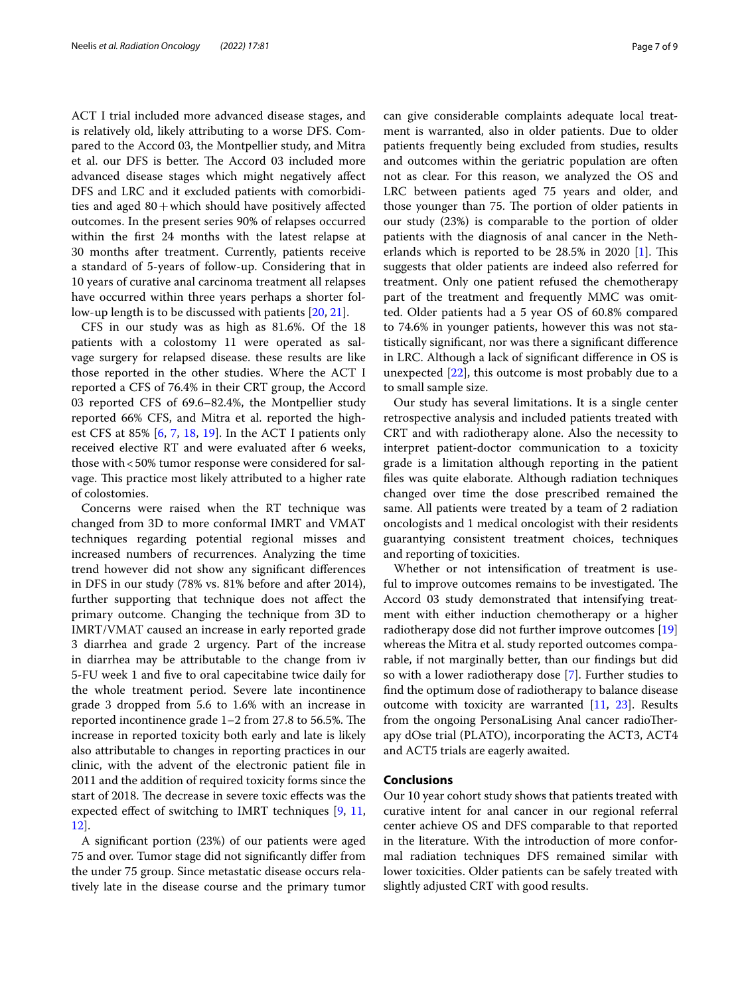ACT I trial included more advanced disease stages, and is relatively old, likely attributing to a worse DFS. Compared to the Accord 03, the Montpellier study, and Mitra et al. our DFS is better. The Accord 03 included more advanced disease stages which might negatively afect DFS and LRC and it excluded patients with comorbidities and aged  $80+$ which should have positively affected outcomes. In the present series 90% of relapses occurred within the frst 24 months with the latest relapse at 30 months after treatment. Currently, patients receive a standard of 5-years of follow-up. Considering that in 10 years of curative anal carcinoma treatment all relapses have occurred within three years perhaps a shorter follow-up length is to be discussed with patients [[20,](#page-7-16) [21](#page-7-17)].

CFS in our study was as high as 81.6%. Of the 18 patients with a colostomy 11 were operated as salvage surgery for relapsed disease. these results are like those reported in the other studies. Where the ACT I reported a CFS of 76.4% in their CRT group, the Accord 03 reported CFS of 69.6–82.4%, the Montpellier study reported 66% CFS, and Mitra et al. reported the highest CFS at 85% [\[6](#page-7-3), [7](#page-7-4), [18,](#page-7-14) [19\]](#page-7-15). In the ACT I patients only received elective RT and were evaluated after 6 weeks, those with<50% tumor response were considered for salvage. This practice most likely attributed to a higher rate of colostomies.

Concerns were raised when the RT technique was changed from 3D to more conformal IMRT and VMAT techniques regarding potential regional misses and increased numbers of recurrences. Analyzing the time trend however did not show any signifcant diferences in DFS in our study (78% vs. 81% before and after 2014), further supporting that technique does not afect the primary outcome. Changing the technique from 3D to IMRT/VMAT caused an increase in early reported grade 3 diarrhea and grade 2 urgency. Part of the increase in diarrhea may be attributable to the change from iv 5-FU week 1 and fve to oral capecitabine twice daily for the whole treatment period. Severe late incontinence grade 3 dropped from 5.6 to 1.6% with an increase in reported incontinence grade  $1-2$  from 27.8 to 56.5%. The increase in reported toxicity both early and late is likely also attributable to changes in reporting practices in our clinic, with the advent of the electronic patient fle in 2011 and the addition of required toxicity forms since the start of 2018. The decrease in severe toxic effects was the expected efect of switching to IMRT techniques [[9,](#page-7-18) [11](#page-7-19), [12\]](#page-7-6).

A signifcant portion (23%) of our patients were aged 75 and over. Tumor stage did not signifcantly difer from the under 75 group. Since metastatic disease occurs relatively late in the disease course and the primary tumor can give considerable complaints adequate local treatment is warranted, also in older patients. Due to older patients frequently being excluded from studies, results and outcomes within the geriatric population are often not as clear. For this reason, we analyzed the OS and LRC between patients aged 75 years and older, and those younger than 75. The portion of older patients in our study (23%) is comparable to the portion of older patients with the diagnosis of anal cancer in the Netherlands which is reported to be  $28.5\%$  in 2020 [\[1](#page-7-0)]. This suggests that older patients are indeed also referred for treatment. Only one patient refused the chemotherapy part of the treatment and frequently MMC was omitted. Older patients had a 5 year OS of 60.8% compared to 74.6% in younger patients, however this was not statistically signifcant, nor was there a signifcant diference in LRC. Although a lack of signifcant diference in OS is unexpected [\[22](#page-7-20)], this outcome is most probably due to a to small sample size.

Our study has several limitations. It is a single center retrospective analysis and included patients treated with CRT and with radiotherapy alone. Also the necessity to interpret patient-doctor communication to a toxicity grade is a limitation although reporting in the patient fles was quite elaborate. Although radiation techniques changed over time the dose prescribed remained the same. All patients were treated by a team of 2 radiation oncologists and 1 medical oncologist with their residents guarantying consistent treatment choices, techniques and reporting of toxicities.

Whether or not intensifcation of treatment is useful to improve outcomes remains to be investigated. The Accord 03 study demonstrated that intensifying treatment with either induction chemotherapy or a higher radiotherapy dose did not further improve outcomes [[19](#page-7-15)] whereas the Mitra et al. study reported outcomes comparable, if not marginally better, than our fndings but did so with a lower radiotherapy dose [\[7](#page-7-4)]. Further studies to fnd the optimum dose of radiotherapy to balance disease outcome with toxicity are warranted [[11,](#page-7-19) [23\]](#page-8-0). Results from the ongoing PersonaLising Anal cancer radioTherapy dOse trial (PLATO), incorporating the ACT3, ACT4 and ACT5 trials are eagerly awaited.

# **Conclusions**

Our 10 year cohort study shows that patients treated with curative intent for anal cancer in our regional referral center achieve OS and DFS comparable to that reported in the literature. With the introduction of more conformal radiation techniques DFS remained similar with lower toxicities. Older patients can be safely treated with slightly adjusted CRT with good results.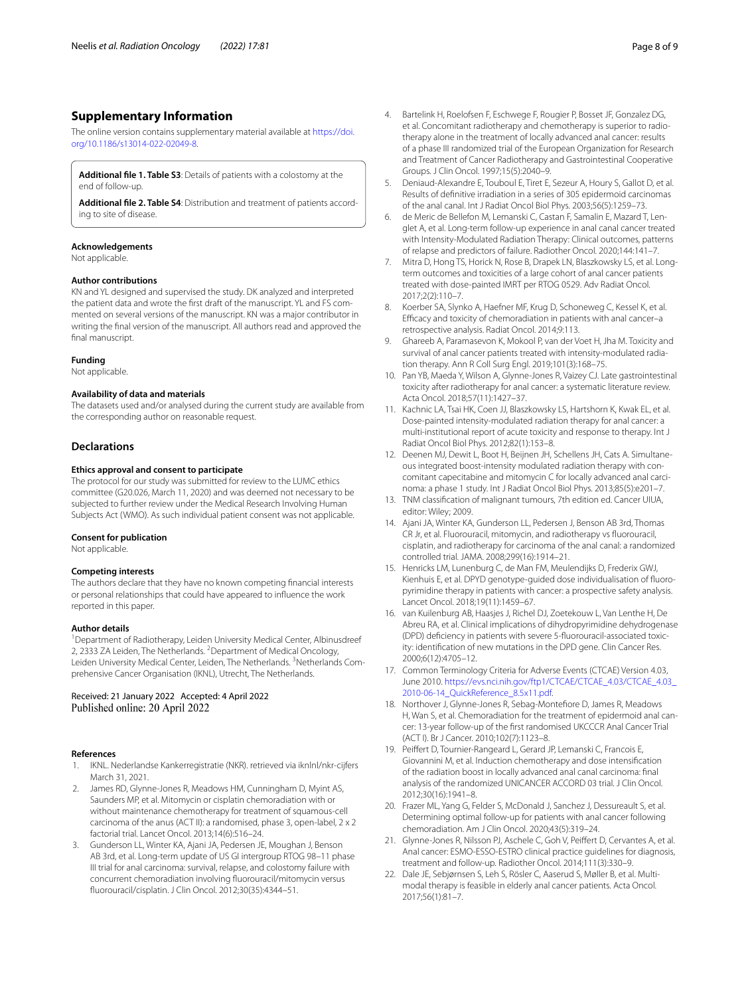# **Supplementary Information**

The online version contains supplementary material available at [https://doi.](https://doi.org/10.1186/s13014-022-02049-8) [org/10.1186/s13014-022-02049-8](https://doi.org/10.1186/s13014-022-02049-8).

<span id="page-7-13"></span><span id="page-7-12"></span>**Additional fle 1. Table S3**: Details of patients with a colostomy at the end of follow-up.

**Additional fle 2. Table S4**: Distribution and treatment of patients according to site of disease.

#### **Acknowledgements**

Not applicable.

#### **Author contributions**

KN and YL designed and supervised the study. DK analyzed and interpreted the patient data and wrote the frst draft of the manuscript. YL and FS commented on several versions of the manuscript. KN was a major contributor in writing the fnal version of the manuscript. All authors read and approved the final manuscript.

#### **Funding**

Not applicable.

#### **Availability of data and materials**

The datasets used and/or analysed during the current study are available from the corresponding author on reasonable request.

#### **Declarations**

#### **Ethics approval and consent to participate**

The protocol for our study was submitted for review to the LUMC ethics committee (G20.026, March 11, 2020) and was deemed not necessary to be subjected to further review under the Medical Research Involving Human Subjects Act (WMO). As such individual patient consent was not applicable.

#### **Consent for publication**

Not applicable.

#### **Competing interests**

The authors declare that they have no known competing fnancial interests or personal relationships that could have appeared to infuence the work reported in this paper.

#### **Author details**

<sup>1</sup> Department of Radiotherapy, Leiden University Medical Center, Albinusdreef 2, 2333 ZA Leiden, The Netherlands. <sup>2</sup> Department of Medical Oncology, Leiden University Medical Center, Leiden, The Netherlands. <sup>3</sup>Netherlands Comprehensive Cancer Organisation (IKNL), Utrecht, The Netherlands.

# Received: 21 January 2022 Accepted: 4 April 2022

# **References**

- <span id="page-7-0"></span>1. IKNL. Nederlandse Kankerregistratie (NKR). retrieved via iknlnl/nkr-cijfers March 31, 2021.
- <span id="page-7-1"></span>2. James RD, Glynne-Jones R, Meadows HM, Cunningham D, Myint AS, Saunders MP, et al. Mitomycin or cisplatin chemoradiation with or without maintenance chemotherapy for treatment of squamous-cell carcinoma of the anus (ACT II): a randomised, phase 3, open-label, 2 x 2 factorial trial. Lancet Oncol. 2013;14(6):516–24.
- 3. Gunderson LL, Winter KA, Ajani JA, Pedersen JE, Moughan J, Benson AB 3rd, et al. Long-term update of US GI intergroup RTOG 98–11 phase III trial for anal carcinoma: survival, relapse, and colostomy failure with concurrent chemoradiation involving fuorouracil/mitomycin versus fuorouracil/cisplatin. J Clin Oncol. 2012;30(35):4344–51.
- 4. Bartelink H, Roelofsen F, Eschwege F, Rougier P, Bosset JF, Gonzalez DG, et al. Concomitant radiotherapy and chemotherapy is superior to radiotherapy alone in the treatment of locally advanced anal cancer: results of a phase III randomized trial of the European Organization for Research and Treatment of Cancer Radiotherapy and Gastrointestinal Cooperative Groups. J Clin Oncol. 1997;15(5):2040–9.
- <span id="page-7-2"></span>5. Deniaud-Alexandre E, Touboul E, Tiret E, Sezeur A, Houry S, Gallot D, et al. Results of defnitive irradiation in a series of 305 epidermoid carcinomas of the anal canal. Int J Radiat Oncol Biol Phys. 2003;56(5):1259–73.
- <span id="page-7-3"></span>6. de Meric de Bellefon M, Lemanski C, Castan F, Samalin E, Mazard T, Lenglet A, et al. Long-term follow-up experience in anal canal cancer treated with Intensity-Modulated Radiation Therapy: Clinical outcomes, patterns of relapse and predictors of failure. Radiother Oncol. 2020;144:141–7.
- <span id="page-7-4"></span>7. Mitra D, Hong TS, Horick N, Rose B, Drapek LN, Blaszkowsky LS, et al. Longterm outcomes and toxicities of a large cohort of anal cancer patients treated with dose-painted IMRT per RTOG 0529. Adv Radiat Oncol. 2017;2(2):110–7.
- <span id="page-7-5"></span>8. Koerber SA, Slynko A, Haefner MF, Krug D, Schoneweg C, Kessel K, et al. Efficacy and toxicity of chemoradiation in patients with anal cancer-a retrospective analysis. Radiat Oncol. 2014;9:113.
- <span id="page-7-18"></span>9. Ghareeb A, Paramasevon K, Mokool P, van der Voet H, Jha M. Toxicity and survival of anal cancer patients treated with intensity-modulated radiation therapy. Ann R Coll Surg Engl. 2019;101(3):168–75.
- 10. Pan YB, Maeda Y, Wilson A, Glynne-Jones R, Vaizey CJ. Late gastrointestinal toxicity after radiotherapy for anal cancer: a systematic literature review. Acta Oncol. 2018;57(11):1427–37.
- <span id="page-7-19"></span>11. Kachnic LA, Tsai HK, Coen JJ, Blaszkowsky LS, Hartshorn K, Kwak EL, et al. Dose-painted intensity-modulated radiation therapy for anal cancer: a multi-institutional report of acute toxicity and response to therapy. Int J Radiat Oncol Biol Phys. 2012;82(1):153–8.
- <span id="page-7-6"></span>12. Deenen MJ, Dewit L, Boot H, Beijnen JH, Schellens JH, Cats A. Simultaneous integrated boost-intensity modulated radiation therapy with concomitant capecitabine and mitomycin C for locally advanced anal carcinoma: a phase 1 study. Int J Radiat Oncol Biol Phys. 2013;85(5):e201–7.
- <span id="page-7-7"></span>13. TNM classifcation of malignant tumours, 7th edition ed. Cancer UIUA, editor: Wiley; 2009.
- <span id="page-7-8"></span>14. Ajani JA, Winter KA, Gunderson LL, Pedersen J, Benson AB 3rd, Thomas CR Jr, et al. Fluorouracil, mitomycin, and radiotherapy vs fuorouracil, cisplatin, and radiotherapy for carcinoma of the anal canal: a randomized controlled trial. JAMA. 2008;299(16):1914–21.
- <span id="page-7-9"></span>15. Henricks LM, Lunenburg C, de Man FM, Meulendijks D, Frederix GWJ, Kienhuis E, et al. DPYD genotype-guided dose individualisation of fuoropyrimidine therapy in patients with cancer: a prospective safety analysis. Lancet Oncol. 2018;19(11):1459–67.
- <span id="page-7-10"></span>16. van Kuilenburg AB, Haasjes J, Richel DJ, Zoetekouw L, Van Lenthe H, De Abreu RA, et al. Clinical implications of dihydropyrimidine dehydrogenase (DPD) defciency in patients with severe 5-fuorouracil-associated toxicity: identifcation of new mutations in the DPD gene. Clin Cancer Res. 2000;6(12):4705–12.
- <span id="page-7-11"></span>17. Common Terminology Criteria for Adverse Events (CTCAE) Version 4.03, June 2010. [https://evs.nci.nih.gov/ftp1/CTCAE/CTCAE\\_4.03/CTCAE\\_4.03\\_](https://evs.nci.nih.gov/ftp1/CTCAE/CTCAE_4.03/CTCAE_4.03_2010-06-14_QuickReference_8.5x11.pdf) [2010-06-14\\_QuickReference\\_8.5x11.pdf](https://evs.nci.nih.gov/ftp1/CTCAE/CTCAE_4.03/CTCAE_4.03_2010-06-14_QuickReference_8.5x11.pdf).
- <span id="page-7-14"></span>18. Northover J, Glynne-Jones R, Sebag-Montefore D, James R, Meadows H, Wan S, et al. Chemoradiation for the treatment of epidermoid anal cancer: 13-year follow-up of the frst randomised UKCCCR Anal Cancer Trial (ACT I). Br J Cancer. 2010;102(7):1123–8.
- <span id="page-7-15"></span>19. Peifert D, Tournier-Rangeard L, Gerard JP, Lemanski C, Francois E, Giovannini M, et al. Induction chemotherapy and dose intensifcation of the radiation boost in locally advanced anal canal carcinoma: fnal analysis of the randomized UNICANCER ACCORD 03 trial. J Clin Oncol. 2012;30(16):1941–8.
- <span id="page-7-16"></span>20. Frazer ML, Yang G, Felder S, McDonald J, Sanchez J, Dessureault S, et al. Determining optimal follow-up for patients with anal cancer following chemoradiation. Am J Clin Oncol. 2020;43(5):319–24.
- <span id="page-7-17"></span>21. Glynne-Jones R, Nilsson PJ, Aschele C, Goh V, Peifert D, Cervantes A, et al. Anal cancer: ESMO-ESSO-ESTRO clinical practice guidelines for diagnosis, treatment and follow-up. Radiother Oncol. 2014;111(3):330–9.
- <span id="page-7-20"></span>22. Dale JE, Sebjørnsen S, Leh S, Rösler C, Aaserud S, Møller B, et al. Multimodal therapy is feasible in elderly anal cancer patients. Acta Oncol. 2017;56(1):81–7.